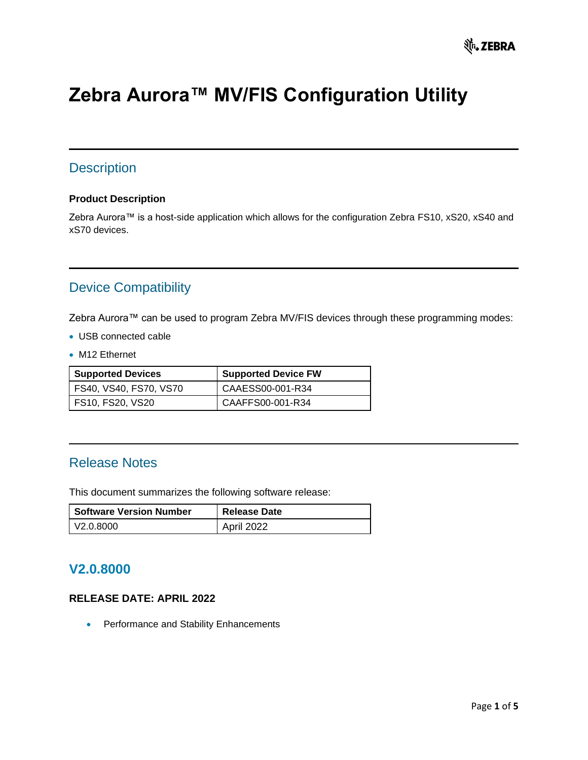# **Zebra Aurora™ MV/FIS Configuration Utility**

### **Description**

#### **Product Description**

Zebra Aurora™ is a host-side application which allows for the configuration Zebra FS10, xS20, xS40 and xS70 devices.

### Device Compatibility

Zebra Aurora™ can be used to program Zebra MV/FIS devices through these programming modes:

- USB connected cable
- M12 Ethernet

| <b>Supported Devices</b> | <b>Supported Device FW</b> |
|--------------------------|----------------------------|
| FS40, VS40, FS70, VS70   | CAAESS00-001-R34           |
| FS10, FS20, VS20         | CAAFFS00-001-R34           |

#### Release Notes

This document summarizes the following software release:

| <b>Software Version Number</b> | <b>Release Date</b> |
|--------------------------------|---------------------|
| l V2.0.8000                    | April 2022          |

### **V2.0.8000**

#### **RELEASE DATE: APRIL 2022**

• Performance and Stability Enhancements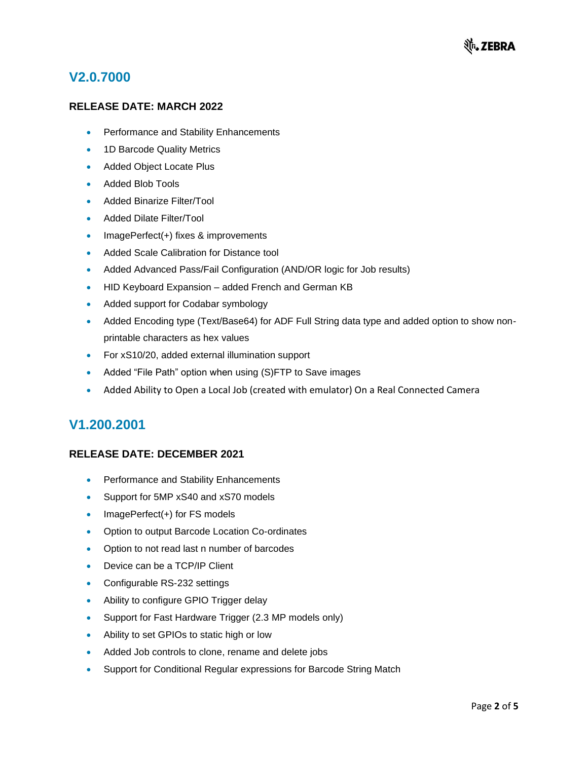### **V2.0.7000**

#### **RELEASE DATE: MARCH 2022**

- Performance and Stability Enhancements
- 1D Barcode Quality Metrics
- Added Object Locate Plus
- Added Blob Tools
- Added Binarize Filter/Tool
- Added Dilate Filter/Tool
- ImagePerfect(+) fixes & improvements
- Added Scale Calibration for Distance tool
- Added Advanced Pass/Fail Configuration (AND/OR logic for Job results)
- HID Keyboard Expansion added French and German KB
- Added support for Codabar symbology
- Added Encoding type (Text/Base64) for ADF Full String data type and added option to show nonprintable characters as hex values
- For xS10/20, added external illumination support
- Added "File Path" option when using (S)FTP to Save images
- Added Ability to Open a Local Job (created with emulator) On a Real Connected Camera

### **V1.200.2001**

#### **RELEASE DATE: DECEMBER 2021**

- Performance and Stability Enhancements
- Support for 5MP xS40 and xS70 models
- ImagePerfect(+) for FS models
- Option to output Barcode Location Co-ordinates
- Option to not read last n number of barcodes
- Device can be a TCP/IP Client
- Configurable RS-232 settings
- Ability to configure GPIO Trigger delay
- Support for Fast Hardware Trigger (2.3 MP models only)
- Ability to set GPIOs to static high or low
- Added Job controls to clone, rename and delete jobs
- Support for Conditional Regular expressions for Barcode String Match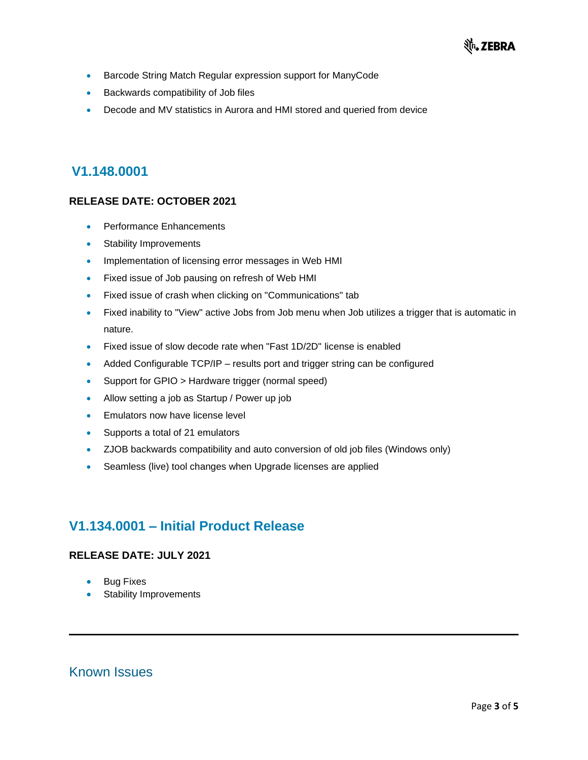- Barcode String Match Regular expression support for ManyCode
- Backwards compatibility of Job files
- Decode and MV statistics in Aurora and HMI stored and queried from device

#### **V1.148.0001**

#### **RELEASE DATE: OCTOBER 2021**

- Performance Enhancements
- Stability Improvements
- Implementation of licensing error messages in Web HMI
- Fixed issue of Job pausing on refresh of Web HMI
- Fixed issue of crash when clicking on "Communications" tab
- Fixed inability to "View" active Jobs from Job menu when Job utilizes a trigger that is automatic in nature.
- Fixed issue of slow decode rate when "Fast 1D/2D" license is enabled
- Added Configurable TCP/IP results port and trigger string can be configured
- Support for GPIO > Hardware trigger (normal speed)
- Allow setting a job as Startup / Power up job
- Emulators now have license level
- Supports a total of 21 emulators
- ZJOB backwards compatibility and auto conversion of old job files (Windows only)
- Seamless (live) tool changes when Upgrade licenses are applied

### **V1.134.0001 – Initial Product Release**

#### **RELEASE DATE: JULY 2021**

- **Bug Fixes**
- Stability Improvements

Known Issues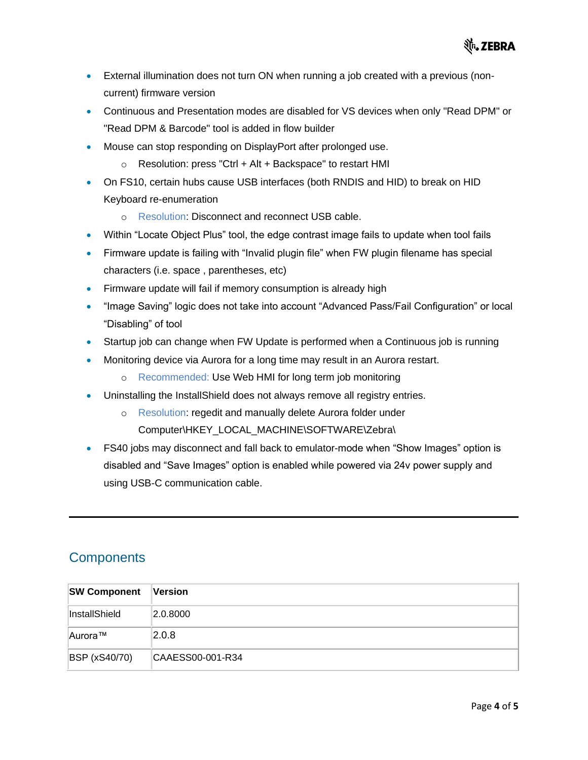- External illumination does not turn ON when running a job created with a previous (noncurrent) firmware version
- Continuous and Presentation modes are disabled for VS devices when only "Read DPM" or "Read DPM & Barcode" tool is added in flow builder
- Mouse can stop responding on DisplayPort after prolonged use.
	- o Resolution: press "Ctrl + Alt + Backspace" to restart HMI
- On FS10, certain hubs cause USB interfaces (both RNDIS and HID) to break on HID Keyboard re-enumeration
	- o Resolution: Disconnect and reconnect USB cable.
- Within "Locate Object Plus" tool, the edge contrast image fails to update when tool fails
- Firmware update is failing with "Invalid plugin file" when FW plugin filename has special characters (i.e. space , parentheses, etc)
- Firmware update will fail if memory consumption is already high
- "Image Saving" logic does not take into account "Advanced Pass/Fail Configuration" or local "Disabling" of tool
- Startup job can change when FW Update is performed when a Continuous job is running
- Monitoring device via Aurora for a long time may result in an Aurora restart.
	- o Recommended: Use Web HMI for long term job monitoring
- Uninstalling the InstallShield does not always remove all registry entries.
	- o Resolution: regedit and manually delete Aurora folder under Computer\HKEY\_LOCAL\_MACHINE\SOFTWARE\Zebra\
- FS40 jobs may disconnect and fall back to emulator-mode when "Show Images" option is disabled and "Save Images" option is enabled while powered via 24v power supply and using USB-C communication cable.

### **Components**

| <b>SW Component</b>  | Version          |
|----------------------|------------------|
| InstallShield        | 2.0.8000         |
| ∥Aurora™             | 2.0.8            |
| <b>BSP</b> (xS40/70) | CAAESS00-001-R34 |